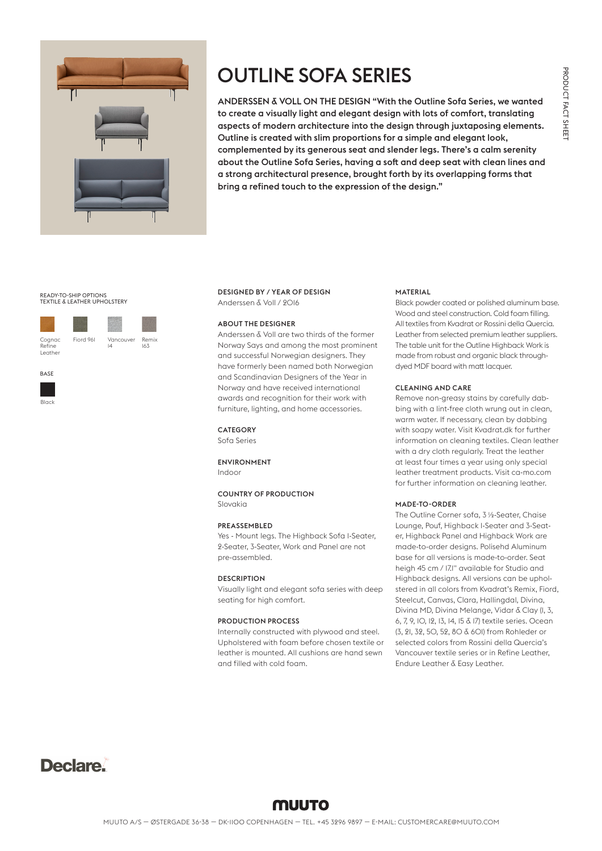

# OUTLINE SOFA SERIES

ANDERSSEN & VOLL ON THE DESIGN "With the Outline Sofa Series, we wanted to create a visually light and elegant design with lots of comfort, translating aspects of modern architecture into the design through juxtaposing elements. Outline is created with slim proportions for a simple and elegant look, complemented by its generous seat and slender legs. There's a calm serenity about the Outline Sofa Series, having a soft and deep seat with clean lines and a strong architectural presence, brought forth by its overlapping forms that bring a refined touch to the expression of the design."

### READY-TO-SHIP OPTIONS TEXTILE & LEATHER UPHOLSTERY



| Fiord 961 | Vancouver<br>IΔ | Remix<br>163 |
|-----------|-----------------|--------------|

**BASE** 





### ABOUT THE DESIGNER

Anderssen & Voll are two thirds of the former Norway Says and among the most prominent and successful Norwegian designers. They have formerly been named both Norwegian and Scandinavian Designers of the Year in Norway and have received international awards and recognition for their work with furniture, lighting, and home accessories.

### CATEGORY

Sofa Series

#### ENVIRONMENT Indoor

COUNTRY OF PRODUCTION Slovakia

#### PREASSEMBLED

Yes - Mount legs. The Highback Sofa 1-Seater, 2-Seater, 3-Seater, Work and Panel are not pre-assembled.

### DESCRIPTION

Visually light and elegant sofa series with deep seating for high comfort.

### PRODUCTION PROCESS

Internally constructed with plywood and steel. Upholstered with foam before chosen textile or leather is mounted. All cushions are hand sewn and filled with cold foam.

### MATERIAL

Black powder coated or polished aluminum base. Wood and steel construction. Cold foam filling. All textiles from Kvadrat or Rossini della Quercia. Leather from selected premium leather suppliers. The table unit for the Outline Highback Work is made from robust and organic black throughdyed MDF board with matt lacquer.

#### CLEANING AND CARE

Remove non-greasy stains by carefully dabbing with a lint-free cloth wrung out in clean, warm water. If necessary, clean by dabbing with soapy water. Visit Kvadrat.dk for further information on cleaning textiles. Clean leather with a dry cloth regularly. Treat the leather at least four times a year using only special leather treatment products. Visit ca-mo.com for further information on cleaning leather.

### MADE-TO-ORDER

The Outline Corner sofa, 3 ½-Seater, Chaise Lounge, Pouf, Highback 1-Seater and 3-Seater, Highback Panel and Highback Work are made-to-order designs. Polisehd Aluminum base for all versions is made-to-order. Seat heigh 45 cm / 17.1" available for Studio and Highback designs. All versions can be upholstered in all colors from Kvadrat's Remix, Fiord, Steelcut, Canvas, Clara, Hallingdal, Divina, Divina MD, Divina Melange, Vidar & Clay (1, 3, 6, 7, 9, 10, 12, 13, 14, 15 & 17) textile series. Ocean (3, 21, 32, 50, 52, 80 & 601) from Rohleder or selected colors from Rossini della Quercia's Vancouver textile series or in Refine Leather, Endure Leather & Easy Leather.

## Declare.

### **MUUTO**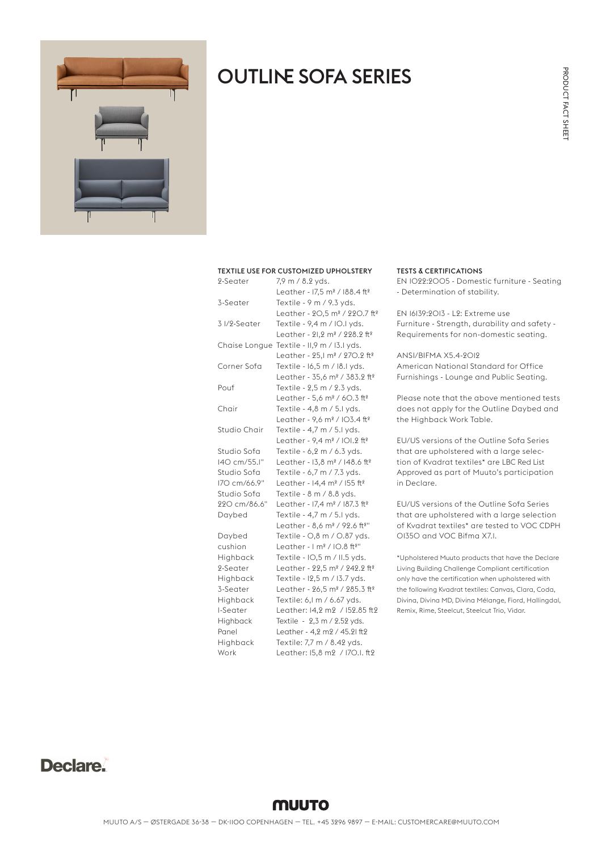PRODUCT FACT SHEET

PRODUCT FACT SHEET



## OUTLINE SOFA SERIES

### TEXTILE USE FOR CUSTOMIZED UPHOLSTERY

| 2-Seater     | 7,9 m / 8.2 yds.                                      |
|--------------|-------------------------------------------------------|
|              | Leather - 17,5 m <sup>2</sup> / 188.4 ft <sup>2</sup> |
| 3-Seater     | Textile - 9 m / 9.3 yds.                              |
|              | Leather - 20,5 m <sup>2</sup> / 220.7 ft <sup>2</sup> |
| 3 I/2-Seater | Textile - 9,4 m / IO.I yds.                           |
|              | Leather - 21,2 m <sup>2</sup> / 228.2 ft <sup>2</sup> |
|              | Chaise Longue Textile - II,9 m / I3.I yds.            |
|              | Leather - 25,1 m <sup>2</sup> / 270.2 ft <sup>2</sup> |
| Corner Sofa  | Textile - 16,5 m / 18.1 yds.                          |
|              | Leather - 35,6 m <sup>2</sup> / 383.2 ft <sup>2</sup> |
| Pouf         | Textile - 2,5 m / 2.3 yds.                            |
|              | Leather - 5,6 m <sup>2</sup> / 60.3 ft <sup>2</sup>   |
| Chair        | Textile - 4,8 m / 5.1 yds.                            |
|              | Leather - 9,6 m <sup>2</sup> / IO3.4 ft <sup>2</sup>  |
| Studio Chair | Textile - 4,7 m / 5.1 yds.                            |
|              | Leather - 9,4 m <sup>2</sup> / IOI.2 ft <sup>2</sup>  |
| Studio Sofa  | Textile - 6,2 m / 6.3 yds.                            |
| 140 cm/55.1" | Leather - 13,8 m <sup>2</sup> / 148.6 ft <sup>2</sup> |
| Studio Sofa  | Textile - 6,7 m / 7.3 yds.                            |
| I7O cm/66.9" | Leather - 14,4 m <sup>2</sup> / 155 ft <sup>2</sup>   |
| Studio Sofa  | Textile - 8 m / 8.8 yds.                              |
| 220 cm/86.6" | Leather - 17,4 m <sup>2</sup> / 187.3 ft <sup>2</sup> |
| Daybed       | Textile - 4,7 m / 5.1 yds.                            |
|              | Leather - 8,6 m <sup>2</sup> / 92.6 ft <sup>2"</sup>  |
| Daybed       | Textile - O,8 m / O.87 yds.                           |
| cushion      | Leather - I m <sup>2</sup> / IO.8 ft <sup>2"</sup>    |
| Highback     | Textile - IO,5 m / II.5 yds.                          |
| 2-Seater     | Leather - 22,5 m <sup>2</sup> / 242.2 ft <sup>2</sup> |
| Highback     | Textile - 12,5 m / 13.7 yds.                          |
| 3-Seater     | Leather - 26,5 m <sup>2</sup> / 285.3 ft <sup>2</sup> |
| Highback     | Textile: 6, I m / 6.67 yds.                           |
| I-Seater     | Leather: 14,2 m2 / 152.85 ft2                         |
| Highback     | Textile - 2,3 m / 2.52 yds.                           |
| Panel        | Leather - 4,2 m2 / 45.21 ft2                          |
| Highback     | Textile: 7,7 m / 8.42 yds.                            |
| Work         | Leather: 15.8 m2 / 170.1. ft2                         |

### TESTS & CERTIFICATIONS

EN 1022:2005 - Domestic furniture - Seating - Determination of stability.

EN 16139:2013 - L2: Extreme use Furniture - Strength, durability and safety - Requirements for non-domestic seating.

ANSI/BIFMA X5.4-2012 American National Standard for Office Furnishings - Lounge and Public Seating.

Please note that the above mentioned tests does not apply for the Outline Daybed and the Highback Work Table.

EU/US versions of the Outline Sofa Series that are upholstered with a large selection of Kvadrat textiles\* are LBC Red List Approved as part of Muuto's participation in Declare.

EU/US versions of the Outline Sofa Series that are upholstered with a large selection of Kvadrat textiles\* are tested to VOC CDPH 01350 and VOC Bifma X7.1.

\*Upholstered Muuto products that have the Declare Living Building Challenge Compliant certification only have the certification when upholstered with the following Kvadrat textiles: Canvas, Clara, Coda, Divina, Divina MD, Divina Mélange, Fiord, Hallingdal, Remix, Rime, Steelcut, Steelcut Trio, Vidar.

### Declare.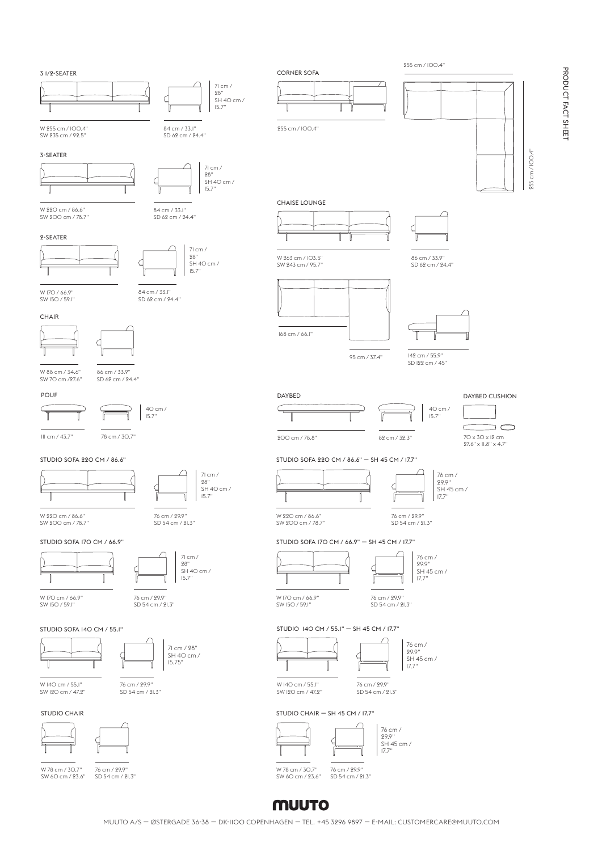PRODUCT FACT SHEET PRODUCT FACT SHEET



POUF

### **MUUTO**